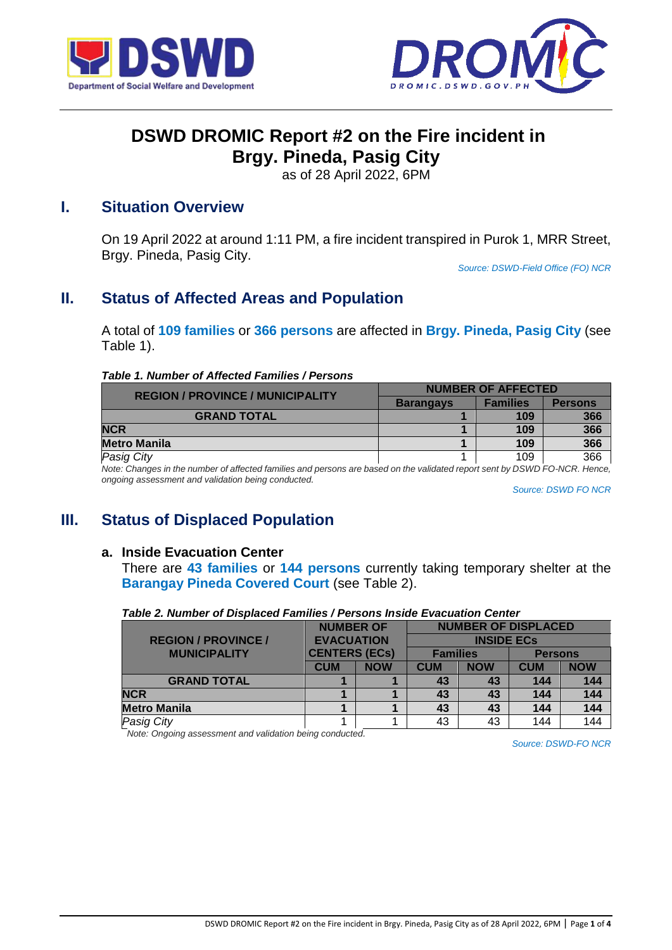



# **DSWD DROMIC Report #2 on the Fire incident in Brgy. Pineda, Pasig City**

as of 28 April 2022, 6PM

## **I. Situation Overview**

On 19 April 2022 at around 1:11 PM, a fire incident transpired in Purok 1, MRR Street, Brgy. Pineda, Pasig City.

*Source: DSWD-Field Office (FO) NCR*

# **II. Status of Affected Areas and Population**

A total of **109 families** or **366 persons** are affected in **Brgy. Pineda, Pasig City** (see Table 1).

#### *Table 1. Number of Affected Families / Persons*

| <b>REGION / PROVINCE / MUNICIPALITY</b> | <b>NUMBER OF AFFECTED</b> |                 |                |  |  |
|-----------------------------------------|---------------------------|-----------------|----------------|--|--|
|                                         | <b>Barangays</b>          | <b>Families</b> | <b>Persons</b> |  |  |
| <b>GRAND TOTAL</b>                      |                           | 109             | 366            |  |  |
| <b>NCR</b>                              |                           | 109             | 366            |  |  |
| <b>Metro Manila</b>                     |                           | 109             | 366            |  |  |
| Pasig City                              |                           | 109             | 366            |  |  |

*Note: Changes in the number of affected families and persons are based on the validated report sent by DSWD FO-NCR. Hence, ongoing assessment and validation being conducted.* 

*Source: DSWD FO NCR*

## **III. Status of Displaced Population**

### **a. Inside Evacuation Center**

There are **43 families** or **144 persons** currently taking temporary shelter at the **Barangay Pineda Covered Court** (see Table 2).

| Table 2. Number of Displaced Families / Persons Inside Evacuation Center |  |
|--------------------------------------------------------------------------|--|
|--------------------------------------------------------------------------|--|

|                            | <b>NUMBER OF</b><br><b>EVACUATION</b> |            | <b>NUMBER OF DISPLACED</b> |            |                |            |
|----------------------------|---------------------------------------|------------|----------------------------|------------|----------------|------------|
| <b>REGION / PROVINCE /</b> |                                       |            | <b>INSIDE ECS</b>          |            |                |            |
| <b>MUNICIPALITY</b>        | <b>CENTERS (ECs)</b>                  |            | <b>Families</b>            |            | <b>Persons</b> |            |
|                            | <b>CUM</b>                            | <b>NOW</b> | <b>CUM</b>                 | <b>NOW</b> | <b>CUM</b>     | <b>NOW</b> |
| <b>GRAND TOTAL</b>         |                                       |            | 43                         | 43         | 144            | 144        |
| <b>NCR</b>                 |                                       |            | 43                         | 43         | 144            | 144        |
| <b>Metro Manila</b>        |                                       |            | 43                         | 43         | 144            | 144        |
| <b>Pasig City</b>          |                                       |            | 43                         | 43         | 144            | 144        |

*Note: Ongoing assessment and validation being conducted.*

*Source: DSWD-FO NCR*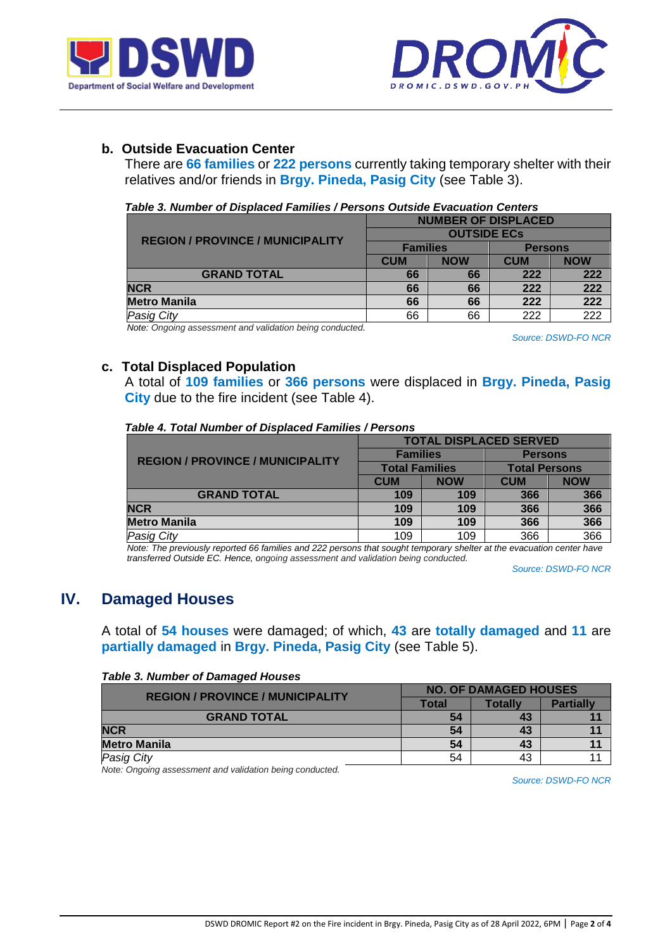



## **b. Outside Evacuation Center**

There are **66 families** or **222 persons** currently taking temporary shelter with their relatives and/or friends in **Brgy. Pineda, Pasig City** (see Table 3).

|  |  |  | Table 3. Number of Displaced Families / Persons Outside Evacuation Centers |  |
|--|--|--|----------------------------------------------------------------------------|--|
|  |  |  |                                                                            |  |
|  |  |  |                                                                            |  |

|                                         | <b>NUMBER OF DISPLACED</b> |            |                |            |  |
|-----------------------------------------|----------------------------|------------|----------------|------------|--|
| <b>REGION / PROVINCE / MUNICIPALITY</b> | <b>OUTSIDE ECS</b>         |            |                |            |  |
|                                         | <b>Families</b>            |            | <b>Persons</b> |            |  |
|                                         | <b>CUM</b>                 | <b>NOW</b> | <b>CUM</b>     | <b>NOW</b> |  |
| <b>GRAND TOTAL</b>                      | 66                         | 66         | 222            | 222        |  |
| <b>NCR</b>                              | 66                         | 66         | 222            | 222        |  |
| <b>Metro Manila</b>                     | 66                         | 66         | 222            | 222        |  |
| Pasig City                              | 66                         | 66         | 222            | 222        |  |

*Note: Ongoing assessment and validation being conducted.*

*Source: DSWD-FO NCR*

### **c. Total Displaced Population**

A total of **109 families** or **366 persons** were displaced in **Brgy. Pineda, Pasig City** due to the fire incident (see Table 4).

| Table 4. Total Number of Displaced Families / Persons |  |
|-------------------------------------------------------|--|
|-------------------------------------------------------|--|

|                                         | <b>TOTAL DISPLACED SERVED</b> |            |                      |            |  |
|-----------------------------------------|-------------------------------|------------|----------------------|------------|--|
| <b>REGION / PROVINCE / MUNICIPALITY</b> | <b>Families</b>               |            | <b>Persons</b>       |            |  |
|                                         | <b>Total Families</b>         |            | <b>Total Persons</b> |            |  |
|                                         | <b>CUM</b>                    | <b>NOW</b> | <b>CUM</b>           | <b>NOW</b> |  |
| <b>GRAND TOTAL</b>                      | 109                           | 109        | 366                  | 366        |  |
| <b>NCR</b>                              | 109                           | 109        | 366                  | 366        |  |
| Metro Manila                            | 109                           | 109        | 366                  | 366        |  |
| Pasig City                              | 109                           | 109        | 366                  | 366        |  |

*Note: The previously reported 66 families and 222 persons that sought temporary shelter at the evacuation center have transferred Outside EC. Hence, ongoing assessment and validation being conducted.*

*Source: DSWD-FO NCR*

## **IV. Damaged Houses**

A total of **54 houses** were damaged; of which, **43** are **totally damaged** and **11** are **partially damaged** in **Brgy. Pineda, Pasig City** (see Table 5).

| <b>Table 3. Number of Damaged Houses</b> |  |
|------------------------------------------|--|
|------------------------------------------|--|

| <b>REGION / PROVINCE / MUNICIPALITY</b> | <b>NO. OF DAMAGED HOUSES</b> |                |                  |  |
|-----------------------------------------|------------------------------|----------------|------------------|--|
|                                         | Total                        | <b>Totally</b> | <b>Partially</b> |  |
| <b>GRAND TOTAL</b>                      | 54                           | 43             |                  |  |
| <b>NCR</b>                              | 54                           | 43             |                  |  |
| <b>Metro Manila</b>                     | 54                           | 43             |                  |  |
| <b>Pasig City</b>                       | 54                           | 43             |                  |  |

*Note: Ongoing assessment and validation being conducted.*

*Source: DSWD-FO NCR*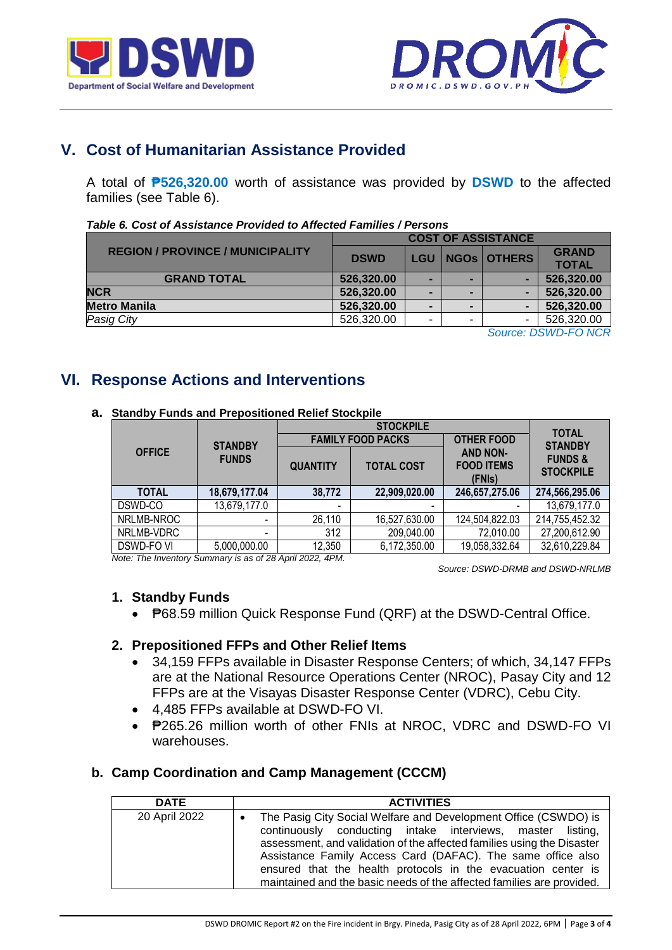



# **V. Cost of Humanitarian Assistance Provided**

A total of **₱526,320.00** worth of assistance was provided by **DSWD** to the affected families (see Table 6).

|            |             |            |  | <b>GRAND</b>                             |
|------------|-------------|------------|--|------------------------------------------|
|            |             |            |  | <b>TOTAL</b>                             |
| 526,320.00 |             |            |  | 526,320.00                               |
| 526,320.00 |             |            |  | 526,320.00                               |
| 526,320.00 |             |            |  | 526,320.00                               |
| 526,320.00 |             | -          |  | 526,320.00                               |
|            | <b>DSWD</b> | <b>LGU</b> |  | <b>COST OF ASSISTANCE</b><br>NGOs OTHERS |

#### *Table 6. Cost of Assistance Provided to Affected Families / Persons*

*Source: DSWD-FO NCR*

## **VI. Response Actions and Interventions**

|               |                |                 | <b>STOCKPILE</b>         |                                                | <b>TOTAL</b>                           |  |
|---------------|----------------|-----------------|--------------------------|------------------------------------------------|----------------------------------------|--|
|               | <b>STANDBY</b> |                 | <b>FAMILY FOOD PACKS</b> | <b>OTHER FOOD</b>                              | <b>STANDBY</b>                         |  |
| <b>OFFICE</b> | <b>FUNDS</b>   | <b>QUANTITY</b> | <b>TOTAL COST</b>        | <b>AND NON-</b><br><b>FOOD ITEMS</b><br>(FNIs) | <b>FUNDS &amp;</b><br><b>STOCKPILE</b> |  |
| <b>TOTAL</b>  | 18,679,177.04  | 38,772          | 22,909,020.00            | 246,657,275.06                                 | 274,566,295.06                         |  |
| DSWD-CO       | 13,679,177.0   |                 | $\overline{\phantom{0}}$ |                                                | 13,679,177.0                           |  |
| NRLMB-NROC    |                | 26,110          | 16,527,630.00            | 124,504,822.03                                 | 214,755,452.32                         |  |
| NRLMB-VDRC    | -              | 312             | 209,040.00               | 72,010.00                                      | 27,200,612.90                          |  |
| DSWD-FO VI    | 5,000,000.00   | 12,350          | 6,172,350.00             | 19,058,332.64                                  | 32,610,229.84                          |  |

#### **a. Standby Funds and Prepositioned Relief Stockpile**

*Note: The Inventory Summary is as of 28 April 2022, 4PM.*

 *Source: DSWD-DRMB and DSWD-NRLMB*

### **1. Standby Funds**

₱68.59 million Quick Response Fund (QRF) at the DSWD-Central Office.

### **2. Prepositioned FFPs and Other Relief Items**

- 34,159 FFPs available in Disaster Response Centers; of which, 34,147 FFPs are at the National Resource Operations Center (NROC), Pasay City and 12 FFPs are at the Visayas Disaster Response Center (VDRC), Cebu City.
- 4,485 FFPs available at DSWD-FO VI.
- P265.26 million worth of other FNIs at NROC, VDRC and DSWD-FO VI warehouses.

### **b. Camp Coordination and Camp Management (CCCM)**

| <b>DATE</b>   | <b>ACTIVITIES</b>                                                                                                                                                                                                                                                                                                                                                                                                |
|---------------|------------------------------------------------------------------------------------------------------------------------------------------------------------------------------------------------------------------------------------------------------------------------------------------------------------------------------------------------------------------------------------------------------------------|
| 20 April 2022 | The Pasig City Social Welfare and Development Office (CSWDO) is<br>continuously conducting intake interviews, master listing,<br>assessment, and validation of the affected families using the Disaster<br>Assistance Family Access Card (DAFAC). The same office also<br>ensured that the health protocols in the evacuation center is<br>maintained and the basic needs of the affected families are provided. |